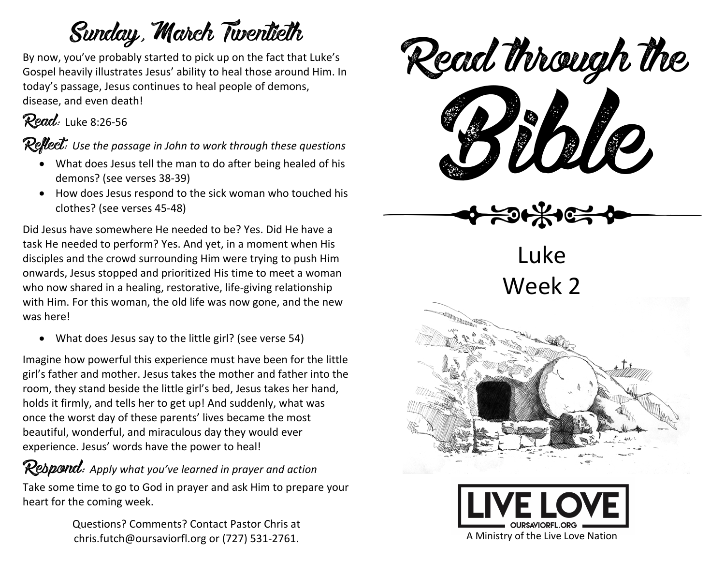## Sunday, March Twentieth

By now, you've probably started to pick up on the fact that Luke's Gospel heavily illustrates Jesus' ability to heal those around Him. In today's passage, Jesus continues to heal people of demons, disease, and even death!

#### Read: Luke 8:26-56

Reflect: Use the passage in John to work through these questions

- What does Jesus tell the man to do after being healed of his demons? (see verses 38-39)
- How does Jesus respond to the sick woman who touched his clothes? (see verses 45-48)

Did Jesus have somewhere He needed to be? Yes. Did He have a task He needed to perform? Yes. And yet, in a moment when His disciples and the crowd surrounding Him were trying to push Him onwards, Jesus stopped and prioritized His time to meet a woman who now shared in a healing, restorative, life-giving relationship with Him. For this woman, the old life was now gone, and the new was here!

• What does Jesus say to the little girl? (see verse 54)

Imagine how powerful this experience must have been for the little girl's father and mother. Jesus takes the mother and father into the room, they stand beside the little girl's bed, Jesus takes her hand, holds it firmly, and tells her to get up! And suddenly, what was once the worst day of these parents' lives became the most beautiful, wonderful, and miraculous day they would ever experience. Jesus' words have the power to heal!

#### Respond: *Apply what you've learned in prayer and action*

Take some time to go to God in prayer and ask Him to prepare your heart for the coming week.

> Questions? Comments? Contact Pastor Chris at chris.futch@oursaviorfl.org or (727) 531-2761.



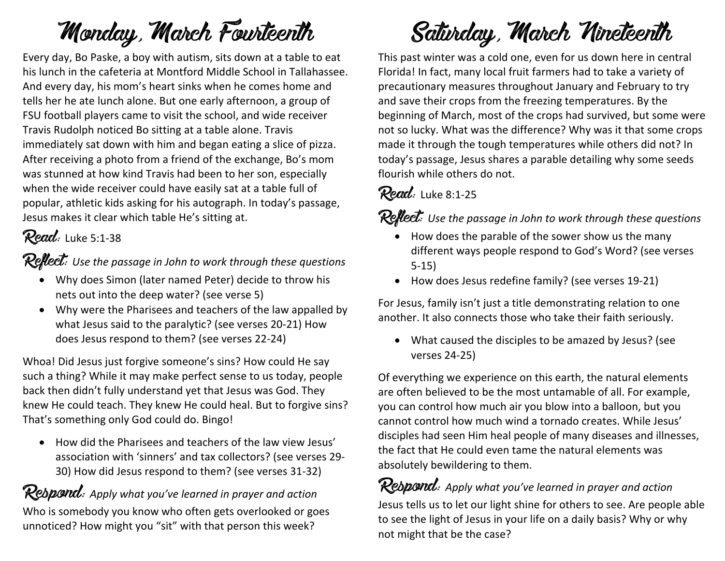## Monday, March Fourteenth

Every day, Bo Paske, a boy with autism, sits down at a table to eat his lunch in the cafeteria at Montford Middle School in Tallahassee. And every day, his mom's heart sinks when he comes home and tells her he ate lunch alone. But one early afternoon, a group of FSU football players came to visit the school, and wide receiver Travis Rudolph noticed Bo sitting at a table alone. Travis immediately sat down with him and began eating a slice of pizza. After receiving a photo from a friend of the exchange, Bo's mom was stunned at how kind Travis had been to her son, especially when the wide receiver could have easily sat at a table full of popular, athletic kids asking for his autograph. In today's passage, Jesus makes it clear which table He's sitting at.

### Read: Luke 5:1-38

Reflect: Use the passage in John to work through these questions

- Why does Simon (later named Peter) decide to throw his nets out into the deep water? (see verse 5)
- Why were the Pharisees and teachers of the law appalled by what Jesus said to the paralytic? (see verses 20-21) How does Jesus respond to them? (see verses 22-24)

Whoa! Did Jesus just forgive someone's sins? How could He say such a thing? While it may make perfect sense to us today, people back then didn't fully understand yet that Jesus was God. They knew He could teach. They knew He could heal. But to forgive sins? That's something only God could do. Bingo!

• How did the Pharisees and teachers of the law view Jesus' association with 'sinners' and tax collectors? (see verses 29- 30) How did Jesus respond to them? (see verses 31-32)

#### Respond: *Apply what you've learned in prayer and action*

Who is somebody you know who often gets overlooked or goes unnoticed? How might you "sit" with that person this week?

# Saturday, March Nineteenth

This past winter was a cold one, even for us down here in central Florida! In fact, many local fruit farmers had to take a variety of precautionary measures throughout January and February to try and save their crops from the freezing temperatures. By the beginning of March, most of the crops had survived, but some were not so lucky. What was the difference? Why was it that some crops made it through the tough temperatures while others did not? In today's passage, Jesus shares a parable detailing why some seeds flourish while others do not.

### Read: Luke 8:1-25

**Reflect:** Use the passage in John to work through these questions

- How does the parable of the sower show us the many different ways people respond to God's Word? (see verses 5-15)
- How does Jesus redefine family? (see verses 19-21)

For Jesus, family isn't just a title demonstrating relation to one another. It also connects those who take their faith seriously.

• What caused the disciples to be amazed by Jesus? (see verses 24-25)

Of everything we experience on this earth, the natural elements are often believed to be the most untamable of all. For example, you can control how much air you blow into a balloon, but you cannot control how much wind a tornado creates. While Jesus' disciples had seen Him heal people of many diseases and illnesses, the fact that He could even tame the natural elements was absolutely bewildering to them.

Respond: *Apply what you've learned in prayer and action* Jesus tells us to let our light shine for others to see. Are people able to see the light of Jesus in your life on a daily basis? Why or why not might that be the case?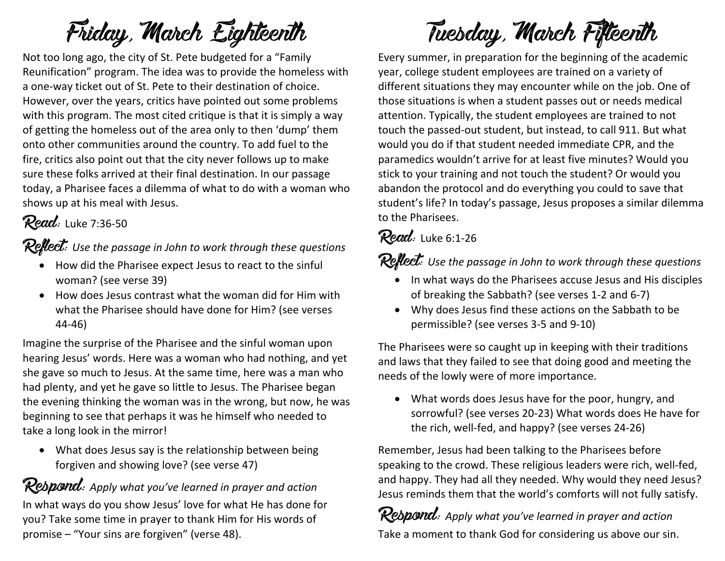# Friday, March Eighteenth

Not too long ago, the city of St. Pete budgeted for a "Family Reunification" program. The idea was to provide the homeless with a one-way ticket out of St. Pete to their destination of choice. However, over the years, critics have pointed out some problems with this program. The most cited critique is that it is simply a way of getting the homeless out of the area only to then 'dump' them onto other communities around the country. To add fuel to the fire, critics also point out that the city never follows up to make sure these folks arrived at their final destination. In our passage today, a Pharisee faces a dilemma of what to do with a woman who shows up at his meal with Jesus.

### **Read:** Luke 7:36-50

Reflect: Use the passage in John to work through these questions

- How did the Pharisee expect Jesus to react to the sinful woman? (see verse 39)
- How does Jesus contrast what the woman did for Him with what the Pharisee should have done for Him? (see verses 44-46)

Imagine the surprise of the Pharisee and the sinful woman upon hearing Jesus' words. Here was a woman who had nothing, and yet she gave so much to Jesus. At the same time, here was a man who had plenty, and yet he gave so little to Jesus. The Pharisee began the evening thinking the woman was in the wrong, but now, he was beginning to see that perhaps it was he himself who needed to take a long look in the mirror!

• What does Jesus say is the relationship between being forgiven and showing love? (see verse 47)

Rebpond: Apply what you've learned in prayer and action In what ways do you show Jesus' love for what He has done for you? Take some time in prayer to thank Him for His words of promise – "Your sins are forgiven" (verse 48).

# Tuesday, March Fifteenth

Every summer, in preparation for the beginning of the academic year, college student employees are trained on a variety of different situations they may encounter while on the job. One of those situations is when a student passes out or needs medical attention. Typically, the student employees are trained to not touch the passed-out student, but instead, to call 911. But what would you do if that student needed immediate CPR, and the paramedics wouldn't arrive for at least five minutes? Would you stick to your training and not touch the student? Or would you abandon the protocol and do everything you could to save that student's life? In today's passage, Jesus proposes a similar dilemma to the Pharisees.

#### Read: Luke 6:1-26

Reflect: Use the passage in John to work through these questions

- In what ways do the Pharisees accuse Jesus and His disciples of breaking the Sabbath? (see verses 1-2 and 6-7)
- Why does Jesus find these actions on the Sabbath to be permissible? (see verses 3-5 and 9-10)

The Pharisees were so caught up in keeping with their traditions and laws that they failed to see that doing good and meeting the needs of the lowly were of more importance.

• What words does Jesus have for the poor, hungry, and sorrowful? (see verses 20-23) What words does He have for the rich, well-fed, and happy? (see verses 24-26)

Remember, Jesus had been talking to the Pharisees before speaking to the crowd. These religious leaders were rich, well-fed, and happy. They had all they needed. Why would they need Jesus? Jesus reminds them that the world's comforts will not fully satisfy.

Respond: *Apply what you've learned in prayer and action* Take a moment to thank God for considering us above our sin.